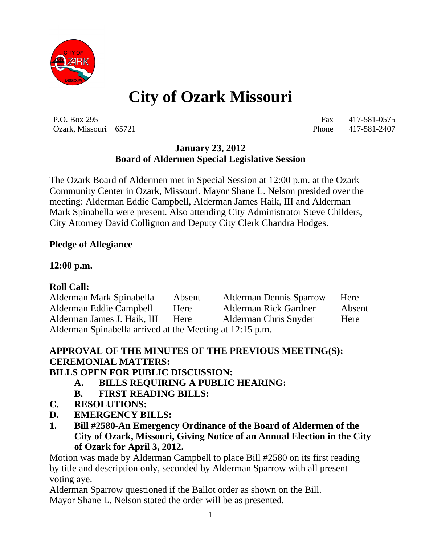

# **City of Ozark Missouri**

P.O. Box 295 Fax 417-581-0575 Ozark, Missouri 65721 Phone 417-581-2407

#### **January 23, 2012 Board of Aldermen Special Legislative Session**

The Ozark Board of Aldermen met in Special Session at 12:00 p.m. at the Ozark Community Center in Ozark, Missouri. Mayor Shane L. Nelson presided over the meeting: Alderman Eddie Campbell, Alderman James Haik, III and Alderman Mark Spinabella were present. Also attending City Administrator Steve Childers, City Attorney David Collignon and Deputy City Clerk Chandra Hodges.

#### **Pledge of Allegiance**

#### **12:00 p.m.**

#### **Roll Call:**

Alderman Mark Spinabella Absent Alderman Dennis Sparrow Here Alderman Eddie Campbell Here Alderman Rick Gardner Absent Alderman James J. Haik, III Here Alderman Chris Snyder Here Alderman Spinabella arrived at the Meeting at 12:15 p.m.

## **APPROVAL OF THE MINUTES OF THE PREVIOUS MEETING(S): CEREMONIAL MATTERS:**

#### **BILLS OPEN FOR PUBLIC DISCUSSION:**

- **A. BILLS REQUIRING A PUBLIC HEARING:**
- **B. FIRST READING BILLS:**
- **C. RESOLUTIONS:**
- **D. EMERGENCY BILLS:**
- **1. Bill #2580-An Emergency Ordinance of the Board of Aldermen of the City of Ozark, Missouri, Giving Notice of an Annual Election in the City of Ozark for April 3, 2012.**

Motion was made by Alderman Campbell to place Bill #2580 on its first reading by title and description only, seconded by Alderman Sparrow with all present voting aye.

Alderman Sparrow questioned if the Ballot order as shown on the Bill. Mayor Shane L. Nelson stated the order will be as presented.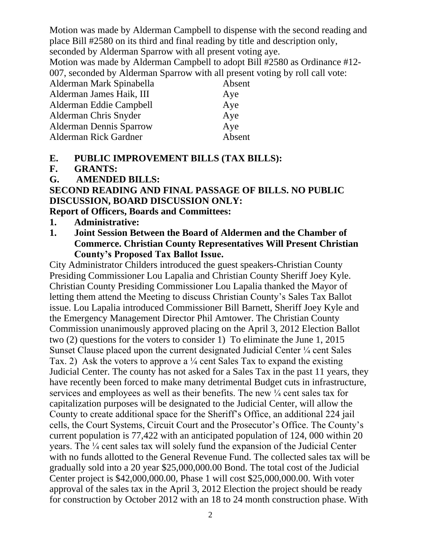Motion was made by Alderman Campbell to dispense with the second reading and place Bill #2580 on its third and final reading by title and description only,

seconded by Alderman Sparrow with all present voting aye.

Motion was made by Alderman Campbell to adopt Bill #2580 as Ordinance #12- 007, seconded by Alderman Sparrow with all present voting by roll call vote:

| Alderman Mark Spinabella       | Absent |
|--------------------------------|--------|
| Alderman James Haik, III       | Aye    |
| Alderman Eddie Campbell        | Aye    |
| Alderman Chris Snyder          | Aye    |
| <b>Alderman Dennis Sparrow</b> | Aye    |
| Alderman Rick Gardner          | Absent |
|                                |        |

## **E. PUBLIC IMPROVEMENT BILLS (TAX BILLS):**

**F. GRANTS:**

### **G. AMENDED BILLS:**

## **SECOND READING AND FINAL PASSAGE OF BILLS. NO PUBLIC DISCUSSION, BOARD DISCUSSION ONLY:**

**Report of Officers, Boards and Committees:**

#### **1. Administrative:**

**1. Joint Session Between the Board of Aldermen and the Chamber of Commerce. Christian County Representatives Will Present Christian County's Proposed Tax Ballot Issue.**

City Administrator Childers introduced the guest speakers-Christian County Presiding Commissioner Lou Lapalia and Christian County Sheriff Joey Kyle. Christian County Presiding Commissioner Lou Lapalia thanked the Mayor of letting them attend the Meeting to discuss Christian County's Sales Tax Ballot issue. Lou Lapalia introduced Commissioner Bill Barnett, Sheriff Joey Kyle and the Emergency Management Director Phil Amtower. The Christian County Commission unanimously approved placing on the April 3, 2012 Election Ballot two (2) questions for the voters to consider 1) To eliminate the June 1, 2015 Sunset Clause placed upon the current designated Judicial Center ¼ cent Sales Tax. 2) Ask the voters to approve a  $\frac{1}{4}$  cent Sales Tax to expand the existing Judicial Center. The county has not asked for a Sales Tax in the past 11 years, they have recently been forced to make many detrimental Budget cuts in infrastructure, services and employees as well as their benefits. The new ¼ cent sales tax for capitalization purposes will be designated to the Judicial Center, will allow the County to create additional space for the Sheriff's Office, an additional 224 jail cells, the Court Systems, Circuit Court and the Prosecutor's Office. The County's current population is 77,422 with an anticipated population of 124, 000 within 20 years. The ¼ cent sales tax will solely fund the expansion of the Judicial Center with no funds allotted to the General Revenue Fund. The collected sales tax will be gradually sold into a 20 year \$25,000,000.00 Bond. The total cost of the Judicial Center project is \$42,000,000.00, Phase 1 will cost \$25,000,000.00. With voter approval of the sales tax in the April 3, 2012 Election the project should be ready for construction by October 2012 with an 18 to 24 month construction phase. With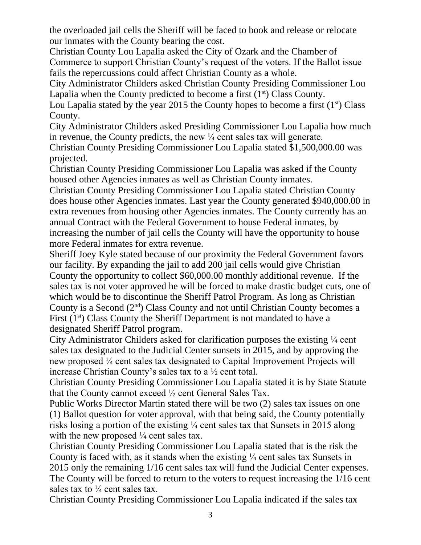the overloaded jail cells the Sheriff will be faced to book and release or relocate our inmates with the County bearing the cost.

Christian County Lou Lapalia asked the City of Ozark and the Chamber of Commerce to support Christian County's request of the voters. If the Ballot issue fails the repercussions could affect Christian County as a whole.

City Administrator Childers asked Christian County Presiding Commissioner Lou Lapalia when the County predicted to become a first  $(1<sup>st</sup>)$  Class County.

Lou Lapalia stated by the year 2015 the County hopes to become a first  $(1<sup>st</sup>)$  Class County.

City Administrator Childers asked Presiding Commissioner Lou Lapalia how much in revenue, the County predicts, the new  $\frac{1}{4}$  cent sales tax will generate.

Christian County Presiding Commissioner Lou Lapalia stated \$1,500,000.00 was projected.

Christian County Presiding Commissioner Lou Lapalia was asked if the County housed other Agencies inmates as well as Christian County inmates.

Christian County Presiding Commissioner Lou Lapalia stated Christian County does house other Agencies inmates. Last year the County generated \$940,000.00 in extra revenues from housing other Agencies inmates. The County currently has an annual Contract with the Federal Government to house Federal inmates, by increasing the number of jail cells the County will have the opportunity to house more Federal inmates for extra revenue.

Sheriff Joey Kyle stated because of our proximity the Federal Government favors our facility. By expanding the jail to add 200 jail cells would give Christian County the opportunity to collect \$60,000.00 monthly additional revenue. If the sales tax is not voter approved he will be forced to make drastic budget cuts, one of which would be to discontinue the Sheriff Patrol Program. As long as Christian County is a Second  $(2<sup>nd</sup>)$  Class County and not until Christian County becomes a First  $(1<sup>st</sup>)$  Class County the Sheriff Department is not mandated to have a designated Sheriff Patrol program.

City Administrator Childers asked for clarification purposes the existing  $\frac{1}{4}$  cent sales tax designated to the Judicial Center sunsets in 2015, and by approving the new proposed ¼ cent sales tax designated to Capital Improvement Projects will increase Christian County's sales tax to a ½ cent total.

Christian County Presiding Commissioner Lou Lapalia stated it is by State Statute that the County cannot exceed ½ cent General Sales Tax.

Public Works Director Martin stated there will be two (2) sales tax issues on one (1) Ballot question for voter approval, with that being said, the County potentially risks losing a portion of the existing ¼ cent sales tax that Sunsets in 2015 along with the new proposed  $\frac{1}{4}$  cent sales tax.

Christian County Presiding Commissioner Lou Lapalia stated that is the risk the County is faced with, as it stands when the existing  $\frac{1}{4}$  cent sales tax Sunsets in 2015 only the remaining 1/16 cent sales tax will fund the Judicial Center expenses. The County will be forced to return to the voters to request increasing the 1/16 cent sales tax to  $\frac{1}{4}$  cent sales tax.

Christian County Presiding Commissioner Lou Lapalia indicated if the sales tax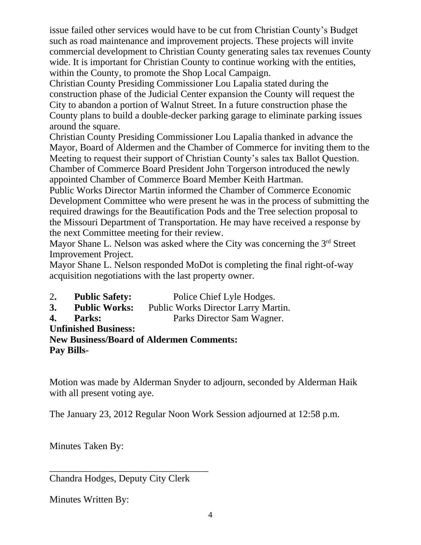issue failed other services would have to be cut from Christian County's Budget such as road maintenance and improvement projects. These projects will invite commercial development to Christian County generating sales tax revenues County wide. It is important for Christian County to continue working with the entities, within the County, to promote the Shop Local Campaign.

Christian County Presiding Commissioner Lou Lapalia stated during the construction phase of the Judicial Center expansion the County will request the City to abandon a portion of Walnut Street. In a future construction phase the County plans to build a double-decker parking garage to eliminate parking issues around the square.

Christian County Presiding Commissioner Lou Lapalia thanked in advance the Mayor, Board of Aldermen and the Chamber of Commerce for inviting them to the Meeting to request their support of Christian County's sales tax Ballot Question. Chamber of Commerce Board President John Torgerson introduced the newly appointed Chamber of Commerce Board Member Keith Hartman.

Public Works Director Martin informed the Chamber of Commerce Economic Development Committee who were present he was in the process of submitting the required drawings for the Beautification Pods and the Tree selection proposal to the Missouri Department of Transportation. He may have received a response by the next Committee meeting for their review.

Mayor Shane L. Nelson was asked where the City was concerning the 3<sup>rd</sup> Street Improvement Project.

Mayor Shane L. Nelson responded MoDot is completing the final right-of-way acquisition negotiations with the last property owner.

2**. Public Safety:** Police Chief Lyle Hodges. **3. Public Works:** Public Works Director Larry Martin. **4. Parks:** Parks Director Sam Wagner. **Unfinished Business: New Business/Board of Aldermen Comments: Pay Bills-**

Motion was made by Alderman Snyder to adjourn, seconded by Alderman Haik with all present voting aye.

The January 23, 2012 Regular Noon Work Session adjourned at 12:58 p.m.

Minutes Taken By:

\_\_\_\_\_\_\_\_\_\_\_\_\_\_\_\_\_\_\_\_\_\_\_\_\_\_\_\_\_\_\_\_\_ Chandra Hodges, Deputy City Clerk

Minutes Written By: